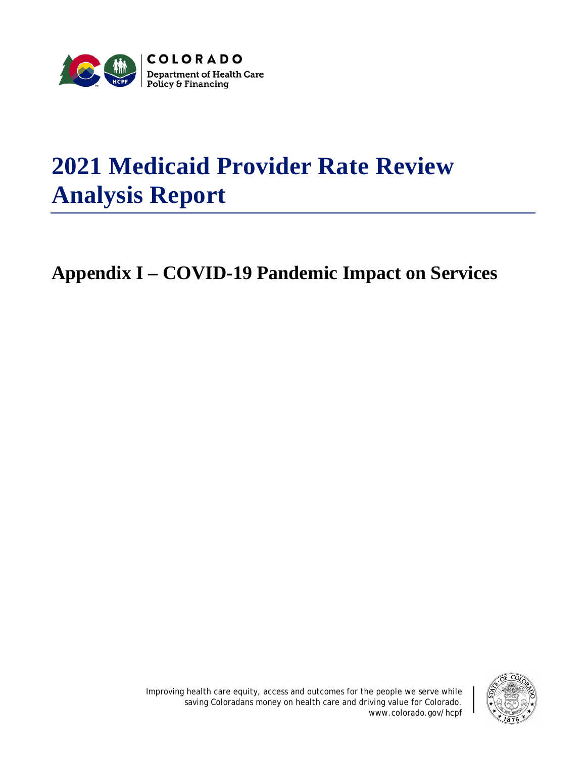

## **2021 Medicaid Provider Rate Review Analysis Report**

**Appendix I – COVID-19 Pandemic Impact on Services**